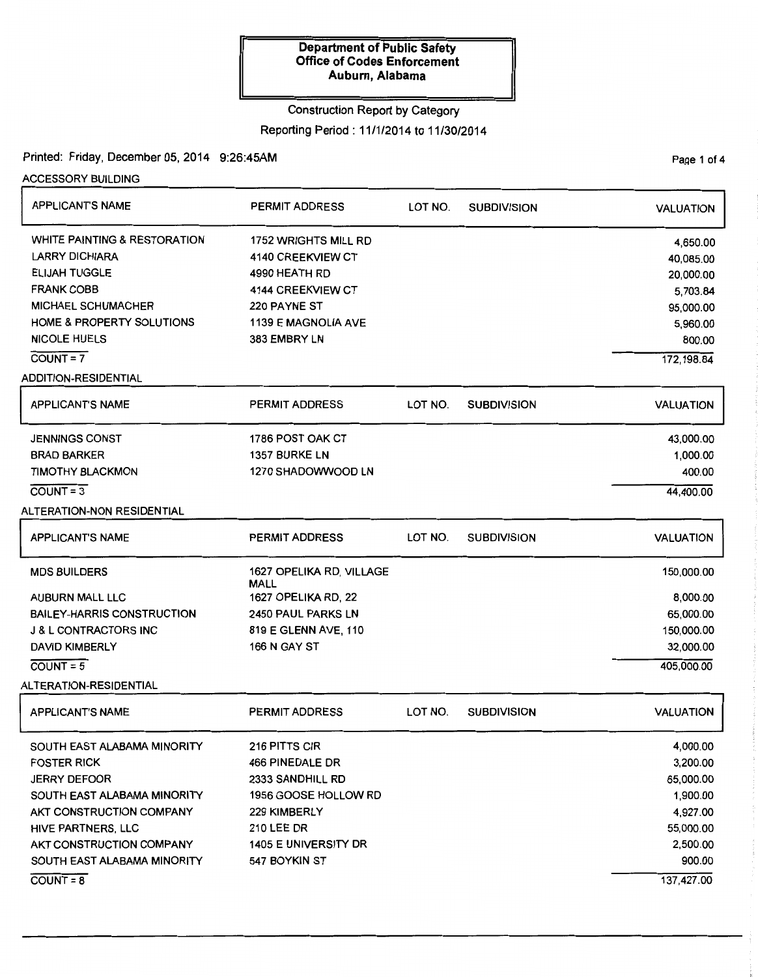### Construction Report by Category

Reporting Period: 11/1/2014 to 11/30/2014

Printed: Friday, December 05, 2014 9:26:45AM

| ACCESSORY BUILDING                      |                                  |         |                    |                  |
|-----------------------------------------|----------------------------------|---------|--------------------|------------------|
| <b>APPLICANT'S NAME</b>                 | <b>PERMIT ADDRESS</b>            | LOT NO. | <b>SUBDIVISION</b> | <b>VALUATION</b> |
| <b>WHITE PAINTING &amp; RESTORATION</b> | 1752 WRIGHTS MILL RD             |         |                    | 4,650.00         |
| <b>LARRY DICHIARA</b>                   | 4140 CREEKVIEW CT                |         |                    | 40,085.00        |
| <b>ELIJAH TUGGLE</b>                    | 4990 HEATH RD                    |         |                    | 20,000.00        |
| <b>FRANK COBB</b>                       | 4144 CREEKVIEW CT                |         |                    | 5,703.84         |
| <b>MICHAEL SCHUMACHER</b>               | 220 PAYNE ST                     |         |                    | 95,000.00        |
| HOME & PROPERTY SOLUTIONS               | <b>1139 E MAGNOLIA AVE</b>       |         |                    | 5,960.00         |
| <b>NICOLE HUELS</b>                     | 383 EMBRY LN                     |         |                    | 800.00           |
| $COUNT = 7$                             |                                  |         |                    | 172, 198.84      |
| <b>ADDITION-RESIDENTIAL</b>             |                                  |         |                    |                  |
| <b>APPLICANT'S NAME</b>                 | <b>PERMIT ADDRESS</b>            | LOT NO. | <b>SUBDIVISION</b> | <b>VALUATION</b> |
| <b>JENNINGS CONST</b>                   | 1786 POST OAK CT                 |         |                    | 43,000.00        |
| <b>BRAD BARKER</b>                      | 1357 BURKE LN                    |         |                    | 1,000.00         |
| <b>TIMOTHY BLACKMON</b>                 | 1270 SHADOWWOOD LN               |         |                    | 400.00           |
| $\overline{COUNT} = 3$                  |                                  |         |                    | 44,400.00        |
| <b>ALTERATION-NON RESIDENTIAL</b>       |                                  |         |                    |                  |
| <b>APPLICANT'S NAME</b>                 | <b>PERMIT ADDRESS</b>            | LOT NO. | <b>SUBDIVISION</b> | <b>VALUATION</b> |
| <b>MDS BUILDERS</b>                     | 1627 OPELIKA RD, VILLAGE<br>MALL |         |                    | 150,000.00       |
| <b>AUBURN MALL LLC</b>                  | 1627 OPELIKA RD, 22              |         |                    | 8,000.00         |
| <b>BAILEY-HARRIS CONSTRUCTION</b>       | <b>2450 PAUL PARKS LN</b>        |         |                    | 65,000.00        |
| <b>J &amp; L CONTRACTORS INC</b>        | 819 E GLENN AVE, 110             |         |                    | 150,000.00       |
| <b>DAVID KIMBERLY</b>                   | <b>166 N GAY ST</b>              |         |                    | 32,000.00        |
| $COUNT = 5$                             |                                  |         |                    | 405,000.00       |
| ALTERATION-RESIDENTIAL                  |                                  |         |                    |                  |
| <b>APPLICANT'S NAME</b>                 | <b>PERMIT ADDRESS</b>            | LOT NO. | <b>SUBDIVISION</b> | <b>VALUATION</b> |
| SOUTH EAST ALABAMA MINORITY             | 216 PITTS CIR                    |         |                    | 4,000.00         |
| <b>FOSTER RICK</b>                      | 466 PINEDALE DR                  |         |                    | 3,200.00         |
| <b>JERRY DEFOOR</b>                     | 2333 SANDHILL RD                 |         |                    | 65,000.00        |
| SOUTH EAST ALABAMA MINORITY             | 1956 GOOSE HOLLOW RD             |         |                    | 1,900.00         |
| AKT CONSTRUCTION COMPANY                | <b>229 KIMBERLY</b>              |         |                    | 4,927.00         |
| HIVE PARTNERS, LLC                      | <b>210 LEE DR</b>                |         |                    | 55,000.00        |
| AKT CONSTRUCTION COMPANY                | <b>1405 E UNIVERSITY DR</b>      |         |                    | 2,500.00         |
| SOUTH EAST ALABAMA MINORITY             | 547 BOYKIN ST                    |         |                    | 900.00           |
| $\overline{COUNT} = 8$                  |                                  |         |                    | 137,427.00       |

PaQe 1 of 4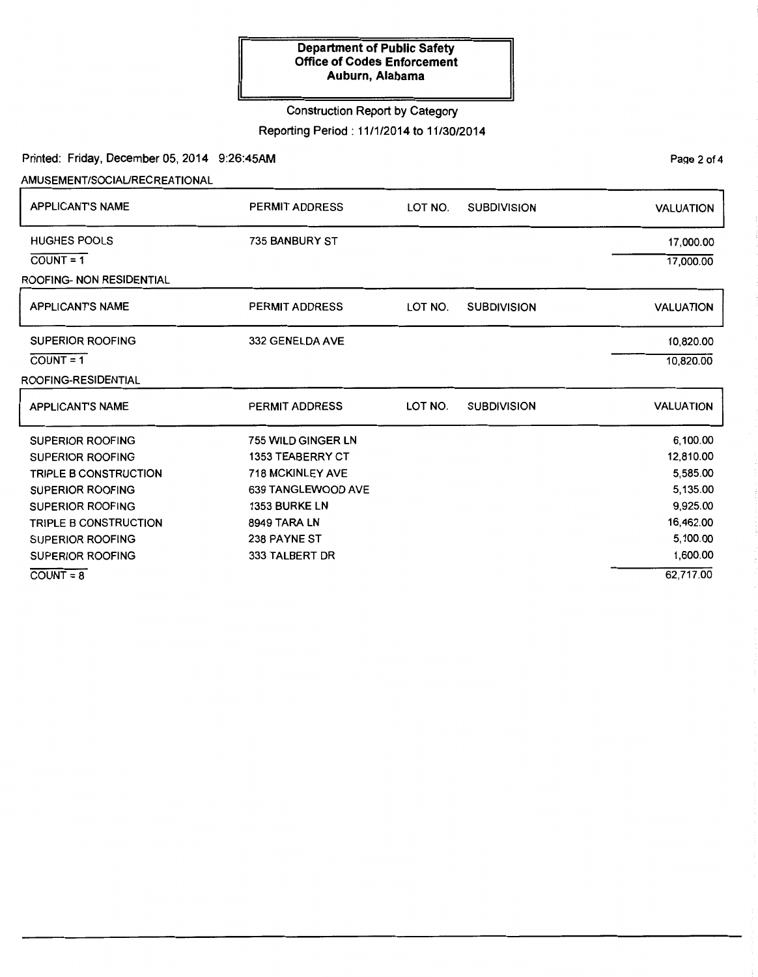## Construction Report by Category

Reporting Period : 11/1/2014 to 11/30/2014

Printed: Friday, December 05, 2014 9:26:45AM

AMUSEMENT/SOCIAURECREATIONAL

| <b>APPLICANT'S NAME</b>      | PERMIT ADDRESS          | LOT NO. | <b>SUBDIVISION</b> | <b>VALUATION</b> |
|------------------------------|-------------------------|---------|--------------------|------------------|
| <b>HUGHES POOLS</b>          | 735 BANBURY ST          |         |                    | 17,000.00        |
| $COUNT = 1$                  |                         |         |                    | 17,000.00        |
| ROOFING- NON RESIDENTIAL     |                         |         |                    |                  |
| <b>APPLICANT'S NAME</b>      | <b>PERMIT ADDRESS</b>   | LOT NO. | <b>SUBDIVISION</b> | <b>VALUATION</b> |
| <b>SUPERIOR ROOFING</b>      | 332 GENELDA AVE         |         |                    | 10,820.00        |
| $COUNT = 1$                  |                         |         |                    | 10,820.00        |
| ROOFING-RESIDENTIAL          |                         |         |                    |                  |
| <b>APPLICANTS NAME</b>       | PERMIT ADDRESS          | LOT NO. | <b>SUBDIVISION</b> | <b>VALUATION</b> |
| <b>SUPERIOR ROOFING</b>      | 755 WILD GINGER LN      |         |                    | 6,100.00         |
| <b>SUPERIOR ROOFING</b>      | <b>1353 TEABERRY CT</b> |         |                    | 12,810.00        |
| <b>TRIPLE B CONSTRUCTION</b> | <b>718 MCKINLEY AVE</b> |         |                    | 5,585.00         |
| <b>SUPERIOR ROOFING</b>      | 639 TANGLEWOOD AVE      |         |                    | 5,135.00         |
| <b>SUPERIOR ROOFING</b>      | 1353 BURKE LN           |         |                    | 9,925.00         |
| <b>TRIPLE B CONSTRUCTION</b> | 8949 TARA LN            |         |                    | 16,462.00        |
| <b>SUPERIOR ROOFING</b>      | 238 PAYNE ST            |         |                    | 5,100.00         |
| <b>SUPERIOR ROOFING</b>      | 333 TALBERT DR          |         |                    | 1,600.00         |
| $COLINT = 8$                 |                         |         |                    | 62,717.00        |

 $COUNT = 8$ 

Page 2 of 4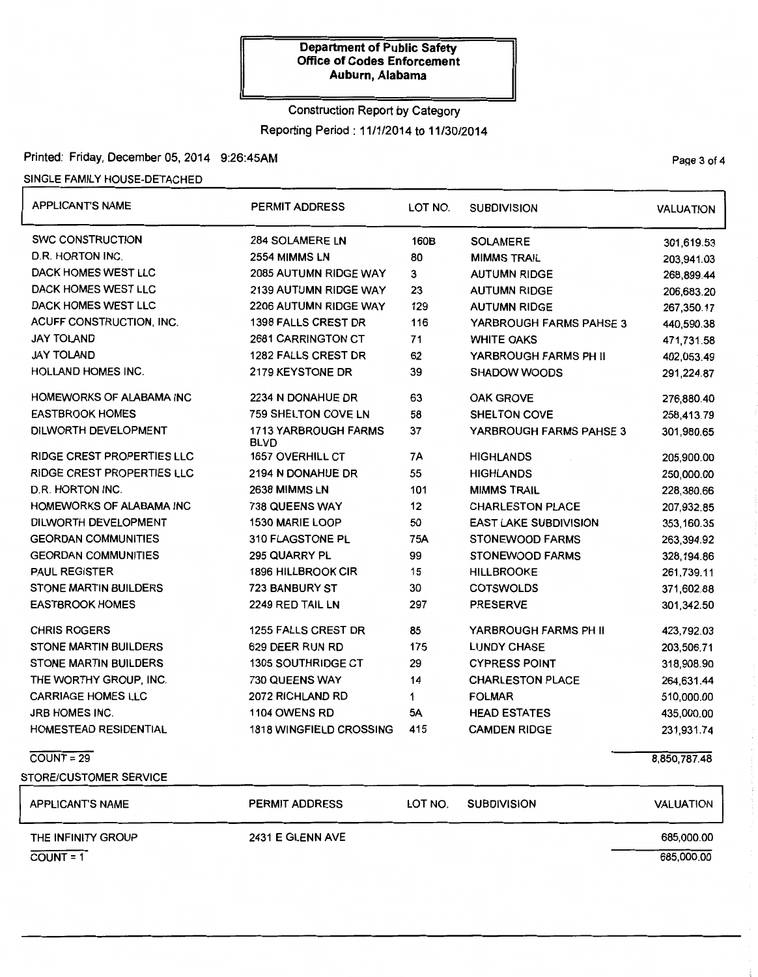# Construction Report by Category Reporting Period : 11/1/2014 to 11/30/2014

## Printed: Friday, December 05, 2014 9:26:45AM

### SINGLE FAMILY HOUSE-DETACHED

| <b>APPLICANT'S NAME</b>      | <b>PERMIT ADDRESS</b>                      | LOT NO.                       | <b>SUBDIVISION</b>           | <b>VALUATION</b> |
|------------------------------|--------------------------------------------|-------------------------------|------------------------------|------------------|
| <b>SWC CONSTRUCTION</b>      | 284 SOLAMERE LN                            | 160B                          | <b>SOLAMERE</b>              | 301,619.53       |
| D.R. HORTON INC.             | 2554 MIMMS LN                              | 80                            | <b>MIMMS TRAIL</b>           | 203,941.03       |
| <b>DACK HOMES WEST LLC</b>   | 2085 AUTUMN RIDGE WAY                      | 3                             | <b>AUTUMN RIDGE</b>          | 268,899.44       |
| DACK HOMES WEST LLC          | 2139 AUTUMN RIDGE WAY                      | 23                            | <b>AUTUMN RIDGE</b>          | 206,683.20       |
| DACK HOMES WEST LLC          | 2206 AUTUMN RIDGE WAY                      | 129                           | <b>AUTUMN RIDGE</b>          | 267,350.17       |
| ACUFF CONSTRUCTION, INC.     | <b>1398 FALLS CREST DR</b>                 | 116                           | YARBROUGH FARMS PAHSE 3      | 440,590.38       |
| <b>JAY TOLAND</b>            | 2681 CARRINGTON CT                         | 71                            | <b>WHITE OAKS</b>            | 471,731.58       |
| <b>JAY TOLAND</b>            | <b>1282 FALLS CREST DR</b>                 | 62                            | YARBROUGH FARMS PH II        | 402,053.49       |
| <b>HOLLAND HOMES INC.</b>    | 2179 KEYSTONE DR                           | 39                            | <b>SHADOW WOODS</b>          | 291,224.87       |
| HOMEWORKS OF ALABAMA INC     | 2234 N DONAHUE DR                          | 63                            | <b>OAK GROVE</b>             | 276,880.40       |
| <b>EASTBROOK HOMES</b>       | 759 SHELTON COVE LN                        | 58                            | <b>SHELTON COVE</b>          | 258,413.79       |
| DILWORTH DEVELOPMENT         | <b>1713 YARBROUGH FARMS</b><br><b>BLVD</b> | 37                            | YARBROUGH FARMS PAHSE 3      | 301,980.65       |
| RIDGE CREST PROPERTIES LLC   | 1657 OVERHILL CT                           | 7A                            | <b>HIGHLANDS</b>             | 205,900.00       |
| RIDGE CREST PROPERTIES LLC   | 2194 N DONAHUE DR                          | 55                            | <b>HIGHLANDS</b>             | 250,000.00       |
| D.R. HORTON INC.             | 2638 MIMMS LN                              | 101                           | <b>MIMMS TRAIL</b>           | 228,380.66       |
| HOMEWORKS OF ALABAMA INC     | 738 QUEENS WAY                             | 12                            | <b>CHARLESTON PLACE</b>      | 207,932.85       |
| DILWORTH DEVELOPMENT         | 1530 MARIE LOOP                            | 50                            | <b>EAST LAKE SUBDIVISION</b> | 353,160.35       |
| <b>GEORDAN COMMUNITIES</b>   | 310 FLAGSTONE PL                           | 75A                           | STONEWOOD FARMS              | 263,394.92       |
| <b>GEORDAN COMMUNITIES</b>   | 295 QUARRY PL                              | 99                            | <b>STONEWOOD FARMS</b>       | 328,194.86       |
| <b>PAUL REGISTER</b>         | <b>1896 HILLBROOK CIR</b>                  | 15                            | <b>HILLBROOKE</b>            | 261,739.11       |
| <b>STONE MARTIN BUILDERS</b> | 723 BANBURY ST                             | 30                            | <b>COTSWOLDS</b>             | 371,602.88       |
| <b>EASTBROOK HOMES</b>       | 2249 RED TAIL LN                           | 297                           | <b>PRESERVE</b>              | 301,342.50       |
| <b>CHRIS ROGERS</b>          | 1255 FALLS CREST DR                        | 85                            | YARBROUGH FARMS PH II        | 423,792.03       |
| <b>STONE MARTIN BUILDERS</b> | 629 DEER RUN RD                            | 175                           | <b>LUNDY CHASE</b>           | 203,506.71       |
| <b>STONE MARTIN BUILDERS</b> | <b>1305 SOUTHRIDGE CT</b>                  | 29                            | <b>CYPRESS POINT</b>         | 318,908.90       |
| THE WORTHY GROUP, INC.       | 730 QUEENS WAY                             | 14<br><b>CHARLESTON PLACE</b> |                              | 264,631.44       |
| <b>CARRIAGE HOMES LLC</b>    | 2072 RICHLAND RD                           | 1                             | <b>FOLMAR</b>                | 510,000.00       |
| <b>JRB HOMES INC.</b>        | 1104 OWENS RD                              | 5A<br><b>HEAD ESTATES</b>     |                              | 435,000.00       |
| <b>HOMESTEAD RESIDENTIAL</b> | 1818 WINGFIELD CROSSING                    | 415                           | <b>CAMDEN RIDGE</b>          | 231,931.74       |
| $COUNT = 29$                 |                                            |                               |                              | 8,850,787.48     |
| STORE/CUSTOMER SERVICE       |                                            |                               |                              |                  |
| <b>APPLICANT'S NAME</b>      | PERMIT ADDRESS                             | LOT NO.                       | <b>SUBDIVISION</b>           | <b>VALUATION</b> |
| THE INFINITY GROUP           | 2431 E GLENN AVE                           |                               |                              | 685,000.00       |
| $COUNT = 1$                  |                                            |                               |                              | 685,000.00       |

PaQe 3 of 4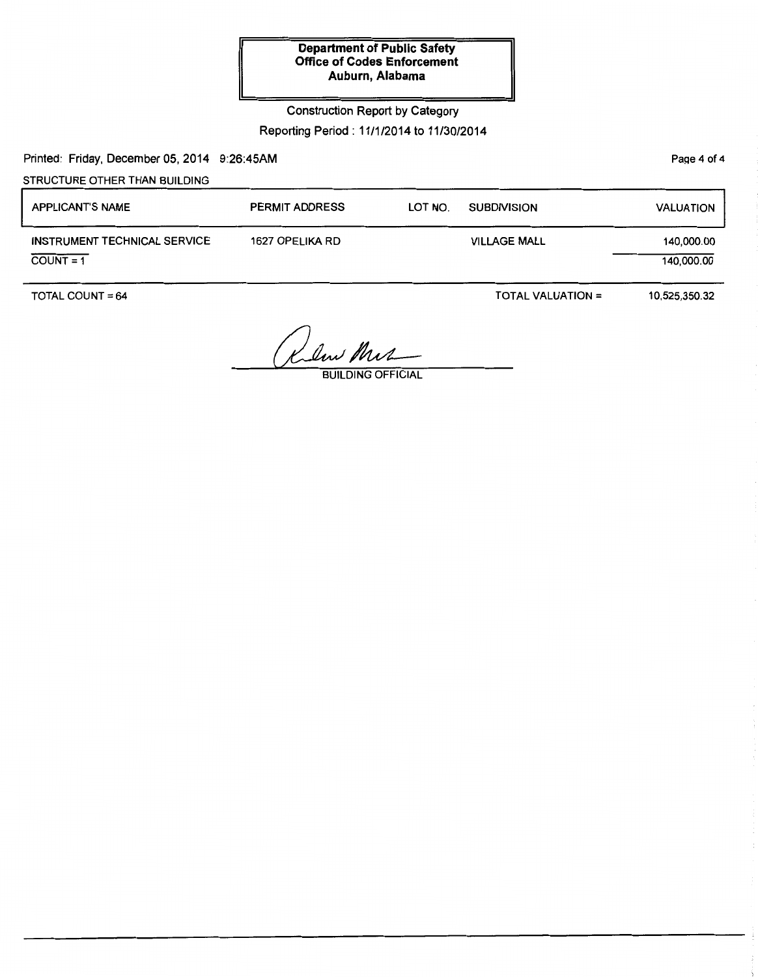## Construction Report by Category

## Reporting Period : 11/1/2014 to 11/30/2014

Printed: Friday, December 05, 2014 9:26:45AM

STRUCTURE OTHER THAN BUILDING

| <b>APPLICANT'S NAME</b>                     | <b>PERMIT ADDRESS</b> | LOT NO. | <b>SUBDIVISION</b>  | <b>VALUATION</b>         |
|---------------------------------------------|-----------------------|---------|---------------------|--------------------------|
| INSTRUMENT TECHNICAL SERVICE<br>$COUNT = 1$ | 1627 OPELIKA RD       |         | <b>VILLAGE MALL</b> | 140,000.00<br>140,000.00 |

TOTAL COUNT= 64

TOTAL VALUATION =

10,525,350.32

Klin Mir

**BUILDING OFFICIAL** 

Page 4 of 4